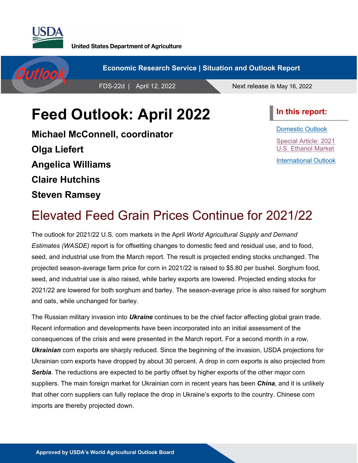

**United States Department of Agriculture** 



# **Feed Outlook: April 2022**

**Michael McConnell, coordinator Olga Liefert Angelica Williams Claire Hutchins Steven Ramsey**

**In this report:**

[Domestic Outlook](#page-1-0) [Special Article: 2021](#page-11-0)  [U.S. Ethanol Market](#page-11-0) [International Outlook](#page-17-0)

# Elevated Feed Grain Prices Continue for 2021/22

The outlook for 2021/22 U.S. corn markets in the April *World Agricultural Supply and Demand Estimates (WASDE)* report is for offsetting changes to domestic feed and residual use, and to food, seed, and industrial use from the March report. The result is projected ending stocks unchanged. The projected season-average farm price for corn in 2021/22 is raised to \$5.80 per bushel. Sorghum food, seed, and industrial use is also raised, while barley exports are lowered. Projected ending stocks for 2021/22 are lowered for both sorghum and barley. The season-average price is also raised for sorghum and oats, while unchanged for barley.

The Russian military invasion into *Ukraine* continues to be the chief factor affecting global grain trade. Recent information and developments have been incorporated into an initial assessment of the consequences of the crisis and were presented in the March report. For a second month in a row, *Ukrainian* corn exports are sharply reduced. Since the beginning of the invasion, USDA projections for Ukrainian corn exports have dropped by about 30 percent. A drop in corn exports is also projected from *Serbia*. The reductions are expected to be partly offset by higher exports of the other major corn suppliers. The main foreign market for Ukrainian corn in recent years has been *China*, and it is unlikely that other corn suppliers can fully replace the drop in Ukraine's exports to the country. Chinese corn imports are thereby projected down.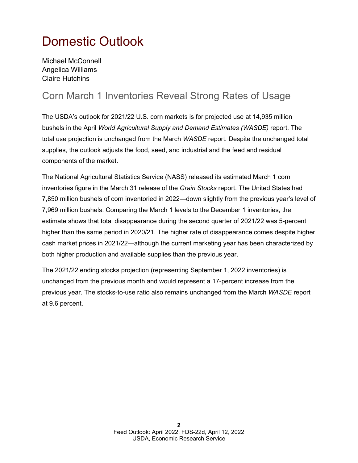## <span id="page-1-0"></span>Domestic Outlook

Michael McConnell Angelica Williams Claire Hutchins

### Corn March 1 Inventories Reveal Strong Rates of Usage

The USDA's outlook for 2021/22 U.S. corn markets is for projected use at 14,935 million bushels in the April *World Agricultural Supply and Demand Estimates (WASDE)* report. The total use projection is unchanged from the March *WASDE* report*.* Despite the unchanged total supplies, the outlook adjusts the food, seed, and industrial and the feed and residual components of the market.

The National Agricultural Statistics Service (NASS) released its estimated March 1 corn inventories figure in the March 31 release of the *Grain Stocks* report. The United States had 7,850 million bushels of corn inventoried in 2022—down slightly from the previous year's level of 7,969 million bushels. Comparing the March 1 levels to the December 1 inventories, the estimate shows that total disappearance during the second quarter of 2021/22 was 5-percent higher than the same period in 2020/21. The higher rate of disappearance comes despite higher cash market prices in 2021/22—although the current marketing year has been characterized by both higher production and available supplies than the previous year.

The 2021/22 ending stocks projection (representing September 1, 2022 inventories) is unchanged from the previous month and would represent a 17-percent increase from the previous year. The stocks-to-use ratio also remains unchanged from the March *WASDE* report at 9.6 percent.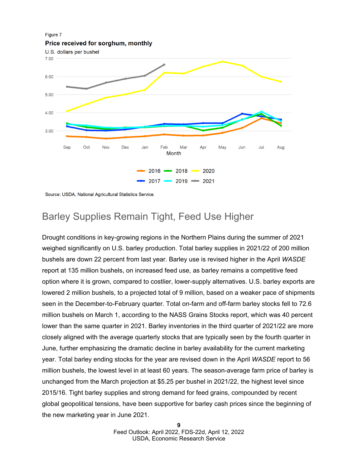

Source: USDA, National Agricultural Statistics Service.

### Barley Supplies Remain Tight, Feed Use Higher

Drought conditions in key-growing regions in the Northern Plains during the summer of 2021 weighed significantly on U.S. barley production. Total barley supplies in 2021/22 of 200 million bushels are down 22 percent from last year. Barley use is revised higher in the April *WASDE* report at 135 million bushels, on increased feed use, as barley remains a competitive feed option where it is grown, compared to costlier, lower-supply alternatives. U.S. barley exports are lowered 2 million bushels, to a projected total of 9 million, based on a weaker pace of shipments seen in the December-to-February quarter. Total on-farm and off-farm barley stocks fell to 72.6 million bushels on March 1, according to the NASS UDLQV6WRENV report, which was 40 percent lower than the same quarter in 2021. Barley inventories in the third quarter of 2021/22 are more closely aligned with the average quarterly stocks that are typically seen by the fourth quarter in June, further emphasizing the dramatic decline in barley availability for the current marketing year. Total barley ending stocks for the year are revised down in the April *WASDE* report to 56 million bushels, the lowest level in at least 60 years. The season-average farm price of barley is unchanged from the March projection at \$5.25 per bushel in 2021/22, the highest level since 2015/16. Tight barley supplies and strong demand for feed grains, compounded by recent global geopolitical tensions, have been supportive for barley cash prices since the beginning of the new marketing year in June 2021.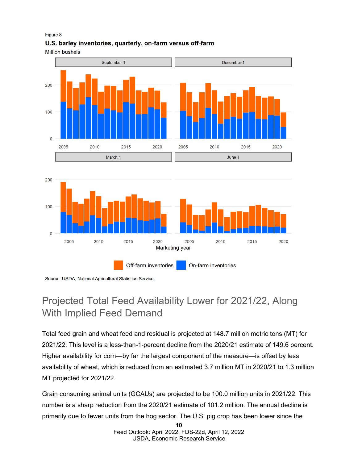### Figure 8 U.S. barley inventories, quarterly, on-farm versus off-farm

**Million bushels** 







## Projected Total Feed Availability Lower for 2021/22, Along With Implied Feed Demand

Total feed grain and wheat feed and residual is projected at 148.7 million metric tons (MT) for 2021/22. This level is a less-than-1-percent decline from the 2020/21 estimate of 149.6 percent. Higher availability for corn—by far the largest component of the measure—is offset by less availability of wheat, which is reduced from an estimated 3.7 million MT in 2020/21 to 1.3 million MT projected for 2021/22.

Grain consuming animal units (GCAUs) are projected to be 100.0 million units in 2021/22. This number is a sharp reduction from the 2020/21 estimate of 101.2 million. The annual decline is primarily due to fewer units from the hog sector. The U.S. pig crop has been lower since the

> **10** Feed Outlook: April 2022, FDS-22d, April 12, 2022 USDA, Economic Research Service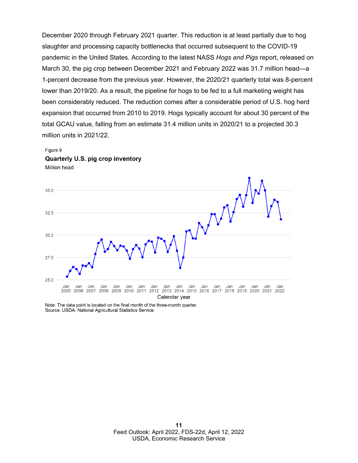December 2020 through February 2021 quarter. This reduction is at least partially due to hog slaughter and processing capacity bottlenecks that occurred subsequent to the COVID-19 pandemic in the United States. According to the latest NASS *Hogs and Pigs* report, released on March 30, the pig crop between December 2021 and February 2022 was 31.7 million head—a 1-percent decrease from the previous year. However, the 2020/21 quarterly total was 8-percent lower than 2019/20. As a result, the pipeline for hogs to be fed to a full marketing weight has been considerably reduced. The reduction comes after a considerable period of U.S. hog herd expansion that occurred from 2010 to 2019. Hogs typically account for about 30 percent of the total GCAU value, falling from an estimate 31.4 million units in 2020/21 to a projected 30.3 million units in 2021/22.

#### Figure 9

Quarterly U.S. pig crop inventory **Million head** 



Note: The data point is located on the final month of the three-month quarter. Source: USDA, National Agricultural Statistics Service.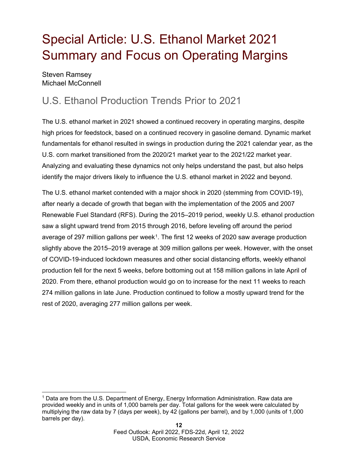# <span id="page-11-0"></span>Special Article: U.S. Ethanol Market 2021 Summary and Focus on Operating Margins

Steven Ramsey Michael McConnell

## U.S. Ethanol Production Trends Prior to 2021

The U.S. ethanol market in 2021 showed a continued recovery in operating margins, despite high prices for feedstock, based on a continued recovery in gasoline demand. Dynamic market fundamentals for ethanol resulted in swings in production during the 2021 calendar year, as the U.S. corn market transitioned from the 2020/21 market year to the 2021/22 market year. Analyzing and evaluating these dynamics not only helps understand the past, but also helps identify the major drivers likely to influence the U.S. ethanol market in 2022 and beyond.

The U.S. ethanol market contended with a major shock in 2020 (stemming from COVID-19), after nearly a decade of growth that began with the implementation of the 2005 and 2007 Renewable Fuel Standard (RFS). During the 2015–2019 period, weekly U.S. ethanol production saw a slight upward trend from 2015 through 2016, before leveling off around the period average of 297 million gallons per week[1.](#page-11-1) The first 12 weeks of 2020 saw average production slightly above the 2015–2019 average at 309 million gallons per week. However, with the onset of COVID-19-induced lockdown measures and other social distancing efforts, weekly ethanol production fell for the next 5 weeks, before bottoming out at 158 million gallons in late April of 2020. From there, ethanol production would go on to increase for the next 11 weeks to reach 274 million gallons in late June. Production continued to follow a mostly upward trend for the rest of 2020, averaging 277 million gallons per week.

<span id="page-11-1"></span><sup>1</sup> Data are from the U.S. Department of Energy, Energy Information Administration. Raw data are provided weekly and in units of 1,000 barrels per day. Total gallons for the week were calculated by multiplying the raw data by 7 (days per week), by 42 (gallons per barrel), and by 1,000 (units of 1,000 barrels per day).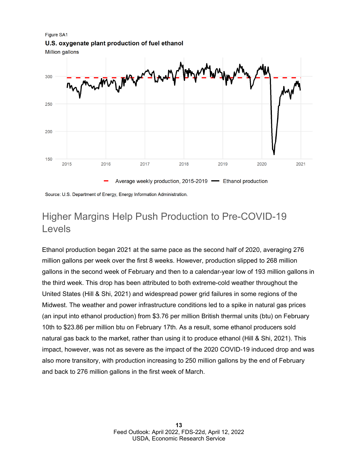**Figure SA1** 

U.S. oxygenate plant production of fuel ethanol

Million gallons



Source: U.S. Department of Energy, Energy Information Administration.

### Higher Margins Help Push Production to Pre-COVID-19 Levels

Ethanol production began 2021 at the same pace as the second half of 2020, averaging 276 million gallons per week over the first 8 weeks. However, production slipped to 268 million gallons in the second week of February and then to a calendar-year low of 193 million gallons in the third week. This drop has been attributed to both extreme-cold weather throughout the United States (Hill & Shi, 2021) and widespread power grid failures in some regions of the Midwest. The weather and power infrastructure conditions led to a spike in natural gas prices (an input into ethanol production) from \$3.76 per million British thermal units (btu) on February 10th to \$23.86 per million btu on February 17th. As a result, some ethanol producers sold natural gas back to the market, rather than using it to produce ethanol (Hill & Shi, 2021). This impact, however, was not as severe as the impact of the 2020 COVID-19 induced drop and was also more transitory, with production increasing to 250 million gallons by the end of February and back to 276 million gallons in the first week of March.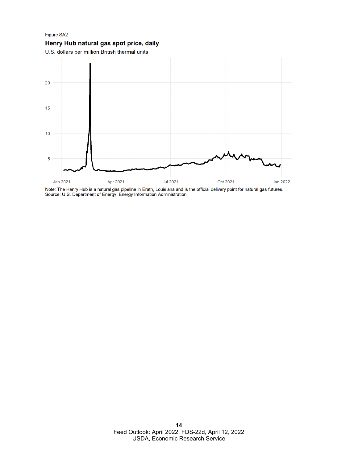Figure SA2 Henry Hub natural gas spot price, daily





Note: The Henry Hub is a natural gas pipeline in Erath, Louisiana and is the official delivery point for natural gas futures.<br>Source: U.S. Department of Energy, Energy Information Administration.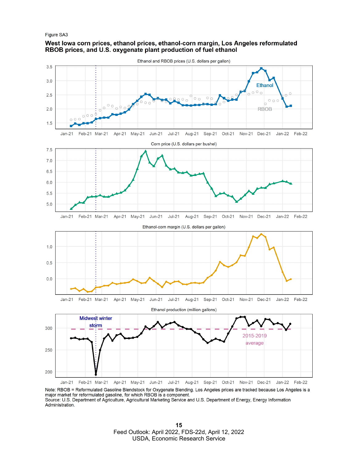#### Figure SA3

### West lowa corn prices, ethanol prices, ethanol-corn margin, Los Angeles reformulated RBOB prices, and U.S. oxygenate plant production of fuel ethanol



Note: RBOB = Reformulated Gasoline Blendstock for Oxygenate Blending. Los Angeles prices are tracked because Los Angeles is a major market for reformulated gasoline, for which RBOB is a component. Source: U.S. Department of Agriculture, Agricultural Marketing Service and U.S. Department of Energy, Energy Information Administration.

> **15** Feed Outlook: April 2022, FDS-22d, April 12, 2022 USDA, Economic Research Service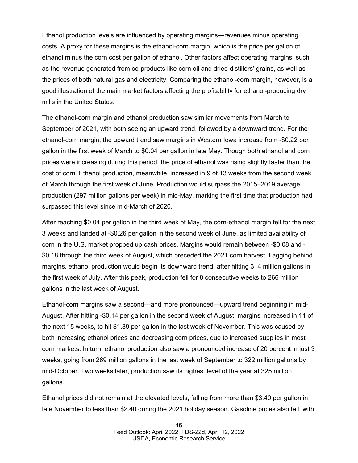Ethanol production levels are influenced by operating margins—revenues minus operating costs. A proxy for these margins is the ethanol-corn margin, which is the price per gallon of ethanol minus the corn cost per gallon of ethanol. Other factors affect operating margins, such as the revenue generated from co-products like corn oil and dried distillers' grains, as well as the prices of both natural gas and electricity. Comparing the ethanol-corn margin, however, is a good illustration of the main market factors affecting the profitability for ethanol-producing dry mills in the United States.

The ethanol-corn margin and ethanol production saw similar movements from March to September of 2021, with both seeing an upward trend, followed by a downward trend. For the ethanol-corn margin, the upward trend saw margins in Western Iowa increase from -\$0.22 per gallon in the first week of March to \$0.04 per gallon in late May. Though both ethanol and corn prices were increasing during this period, the price of ethanol was rising slightly faster than the cost of corn. Ethanol production, meanwhile, increased in 9 of 13 weeks from the second week of March through the first week of June. Production would surpass the 2015–2019 average production (297 million gallons per week) in mid-May, marking the first time that production had surpassed this level since mid-March of 2020.

After reaching \$0.04 per gallon in the third week of May, the corn-ethanol margin fell for the next 3 weeks and landed at -\$0.26 per gallon in the second week of June, as limited availability of corn in the U.S. market propped up cash prices. Margins would remain between -\$0.08 and - \$0.18 through the third week of August, which preceded the 2021 corn harvest. Lagging behind margins, ethanol production would begin its downward trend, after hitting 314 million gallons in the first week of July. After this peak, production fell for 8 consecutive weeks to 266 million gallons in the last week of August.

Ethanol-corn margins saw a second—and more pronounced—upward trend beginning in mid-August. After hitting -\$0.14 per gallon in the second week of August, margins increased in 11 of the next 15 weeks, to hit \$1.39 per gallon in the last week of November. This was caused by both increasing ethanol prices and decreasing corn prices, due to increased supplies in most corn markets. In turn, ethanol production also saw a pronounced increase of 20 percent in just 3 weeks, going from 269 million gallons in the last week of September to 322 million gallons by mid-October. Two weeks later, production saw its highest level of the year at 325 million gallons.

Ethanol prices did not remain at the elevated levels, falling from more than \$3.40 per gallon in late November to less than \$2.40 during the 2021 holiday season. Gasoline prices also fell, with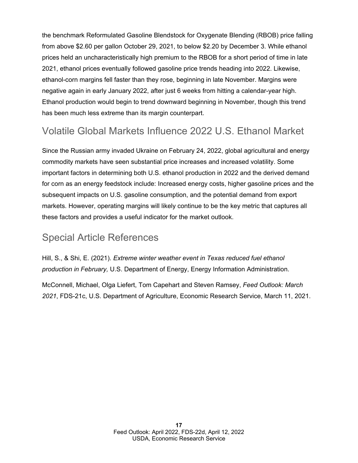the benchmark Reformulated Gasoline Blendstock for Oxygenate Blending (RBOB) price falling from above \$2.60 per gallon on October 29, 2021, to below \$2.20 by December 3. While ethanol prices held an uncharacteristically high premium to the RBOB for a short period of time in late 2021, ethanol prices eventually followed gasoline price trends heading into 2022. Likewise, ethanol-corn margins fell faster than they rose, beginning in late November. Margins were negative again in early January 2022, after just 6 weeks from hitting a calendar-year high. Ethanol production would begin to trend downward beginning in November, though this trend has been much less extreme than its margin counterpart.

### Volatile Global Markets Influence 2022 U.S. Ethanol Market

Since the Russian army invaded Ukraine on February 24, 2022, global agricultural and energy commodity markets have seen substantial price increases and increased volatility. Some important factors in determining both U.S. ethanol production in 2022 and the derived demand for corn as an energy feedstock include: Increased energy costs, higher gasoline prices and the subsequent impacts on U.S. gasoline consumption, and the potential demand from export markets. However, operating margins will likely continue to be the key metric that captures all these factors and provides a useful indicator for the market outlook.

### Special Article References

Hill, S., & Shi, E. (2021). *Extreme winter weather event in Texas reduced fuel ethanol production in February,* U.S. Department of Energy, Energy Information Administration.

McConnell, Michael, Olga Liefert, Tom Capehart and Steven Ramsey, *Feed Outlook: March 2021*, FDS-21c, U.S. Department of Agriculture, Economic Research Service, March 11, 2021.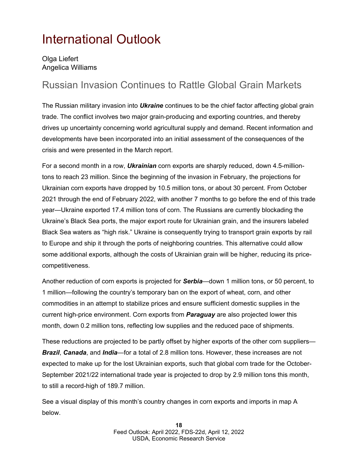## <span id="page-17-0"></span>International Outlook

Olga Liefert Angelica Williams

### Russian Invasion Continues to Rattle Global Grain Markets

The Russian military invasion into *Ukraine* continues to be the chief factor affecting global grain trade. The conflict involves two major grain-producing and exporting countries, and thereby drives up uncertainty concerning world agricultural supply and demand. Recent information and developments have been incorporated into an initial assessment of the consequences of the crisis and were presented in the March report.

For a second month in a row, *Ukrainian* corn exports are sharply reduced, down 4.5-milliontons to reach 23 million. Since the beginning of the invasion in February, the projections for Ukrainian corn exports have dropped by 10.5 million tons, or about 30 percent. From October 2021 through the end of February 2022, with another 7 months to go before the end of this trade year—Ukraine exported 17.4 million tons of corn. The Russians are currently blockading Ukraine's Black Sea ports, the major export route for Ukrainian grain, and the insurers labeled Black Sea waters as "high risk." Ukraine is consequently trying to transport grain exports by rail to Europe and ship it through the ports of neighboring countries. This alternative could allow some additional exports, although the costs of Ukrainian grain will be higher, reducing its pricecompetitiveness.

Another reduction of corn exports is projected for *Serbia*—down 1 million tons, or 50 percent, to 1 million—following the country's temporary ban on the export of wheat, corn, and other commodities in an attempt to stabilize prices and ensure sufficient domestic supplies in the current high-price environment. Corn exports from *Paraguay* are also projected lower this month, down 0.2 million tons, reflecting low supplies and the reduced pace of shipments.

These reductions are projected to be partly offset by higher exports of the other corn suppliers— *Brazil*, *Canada*, and *India*—for a total of 2.8 million tons. However, these increases are not expected to make up for the lost Ukrainian exports, such that global corn trade for the October-September 2021/22 international trade year is projected to drop by 2.9 million tons this month, to still a record-high of 189.7 million.

See a visual display of this month's country changes in corn exports and imports in map A below.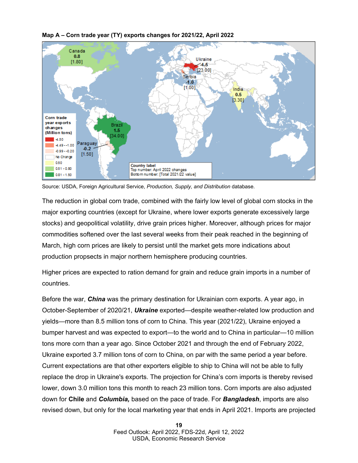

### **Map A – Corn trade year (TY) exports changes for 2021/22, April 2022**

Source: USDA, Foreign Agricultural Service, *Production, Supply, and Distribution* database.

The reduction in global corn trade, combined with the fairly low level of global corn stocks in the major exporting countries (except for Ukraine, where lower exports generate excessively large stocks) and geopolitical volatility, drive grain prices higher. Moreover, although prices for major commodities softened over the last several weeks from their peak reached in the beginning of March, high corn prices are likely to persist until the market gets more indications about production propsects in major northern hemisphere producing countries.

Higher prices are expected to ration demand for grain and reduce grain imports in a number of countries.

Before the war, *China* was the primary destination for Ukrainian corn exports. A year ago, in October-September of 2020/21, *Ukraine* exported—despite weather-related low production and yields—more than 8.5 million tons of corn to China. This year (2021/22), Ukraine enjoyed a bumper harvest and was expected to export—to the world and to China in particular—10 million tons more corn than a year ago. Since October 2021 and through the end of February 2022, Ukraine exported 3.7 million tons of corn to China, on par with the same period a year before. Current expectations are that other exporters eligible to ship to China will not be able to fully replace the drop in Ukraine's exports. The projection for China's corn imports is thereby revised lower, down 3.0 million tons this month to reach 23 million tons. Corn imports are also adjusted down for **Chile** and *Columbia,* based on the pace of trade. For *Bangladesh*, imports are also revised down, but only for the local marketing year that ends in April 2021. Imports are projected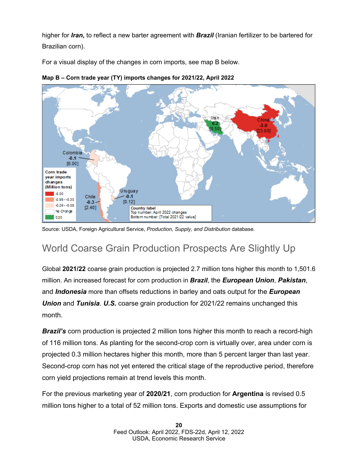higher for *Iran,* to reflect a new barter agreement with *Brazil* (Iranian fertilizer to be bartered for Brazilian corn).

For a visual display of the changes in corn imports, see map B below.



**Map B – Corn trade year (TY) imports changes for 2021/22, April 2022**

Source: USDA, Foreign Agricultural Service, *Production, Supply, and Distribution* database.

## World Coarse Grain Production Prospects Are Slightly Up

Global **2021/22** coarse grain production is projected 2.7 million tons higher this month to 1,501.6 million. An increased forecast for corn production in *Brazil*, the *European Union*, *Pakistan*, and *Indonesia* more than offsets reductions in barley and oats output for the *European Union* and *Tunisia. U.S.* coarse grain production for 2021/22 remains unchanged this month.

*Brazil's* corn production is projected 2 million tons higher this month to reach a record-high of 116 million tons. As planting for the second-crop corn is virtually over, area under corn is projected 0.3 million hectares higher this month, more than 5 percent larger than last year. Second-crop corn has not yet entered the critical stage of the reproductive period, therefore corn yield projections remain at trend levels this month.

For the previous marketing year of **2020/21**, corn production for **Argentina** is revised 0.5 million tons higher to a total of 52 million tons. Exports and domestic use assumptions for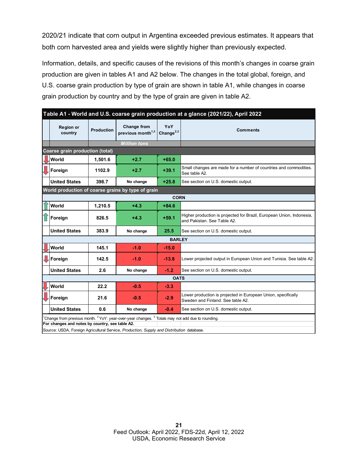2020/21 indicate that corn output in Argentina exceeded previous estimates. It appears that both corn harvested area and yields were slightly higher than previously expected.

Information, details, and specific causes of the revisions of this month's changes in coarse grain production are given in tables A1 and A2 below. The changes in the total global, foreign, and U.S. coarse grain production by type of grain are shown in table A1, while changes in coarse grain production by country and by the type of grain are given in table A2.

| Table A1 - World and U.S. coarse grain production at a glance (2021/22), April 2022 |                                                                                                                                                                                                                                                             |                   |                                                     |                        |                                                                                                      |  |  |  |  |  |
|-------------------------------------------------------------------------------------|-------------------------------------------------------------------------------------------------------------------------------------------------------------------------------------------------------------------------------------------------------------|-------------------|-----------------------------------------------------|------------------------|------------------------------------------------------------------------------------------------------|--|--|--|--|--|
|                                                                                     | <b>Region or</b><br>country                                                                                                                                                                                                                                 | <b>Production</b> | <b>Change from</b><br>previous month <sup>1,3</sup> | YoY<br>Change $^{2,3}$ | <b>Comments</b>                                                                                      |  |  |  |  |  |
|                                                                                     |                                                                                                                                                                                                                                                             |                   | <b>Million tons</b>                                 |                        |                                                                                                      |  |  |  |  |  |
|                                                                                     | Coarse grain production (total)                                                                                                                                                                                                                             |                   |                                                     |                        |                                                                                                      |  |  |  |  |  |
|                                                                                     | World                                                                                                                                                                                                                                                       | 1.501.6           | $+2.7$                                              | $+65.0$                |                                                                                                      |  |  |  |  |  |
|                                                                                     | Foreign                                                                                                                                                                                                                                                     | 1102.9            | $+2.7$                                              | $+39.1$                | Small changes are made for a number of countries and commodities.<br>See table A2.                   |  |  |  |  |  |
|                                                                                     | <b>United States</b>                                                                                                                                                                                                                                        | 398.7             | No change                                           | $+25.8$                | See section on U.S. domestic output.                                                                 |  |  |  |  |  |
| World production of coarse grains by type of grain                                  |                                                                                                                                                                                                                                                             |                   |                                                     |                        |                                                                                                      |  |  |  |  |  |
|                                                                                     |                                                                                                                                                                                                                                                             |                   |                                                     | <b>CORN</b>            |                                                                                                      |  |  |  |  |  |
|                                                                                     | World                                                                                                                                                                                                                                                       | 1,210.5           | $+4.3$                                              | $+84.6$                |                                                                                                      |  |  |  |  |  |
|                                                                                     | Foreign                                                                                                                                                                                                                                                     | 826.5             | $+4.3$                                              | $+59.1$                | Higher production is projected for Brazil, European Union, Indonesia,<br>and Pakistan, See Table A2. |  |  |  |  |  |
|                                                                                     | <b>United States</b>                                                                                                                                                                                                                                        | 383.9             | No change                                           | 25.5                   | See section on U.S. domestic output.                                                                 |  |  |  |  |  |
|                                                                                     | <b>BARLEY</b>                                                                                                                                                                                                                                               |                   |                                                     |                        |                                                                                                      |  |  |  |  |  |
|                                                                                     | World                                                                                                                                                                                                                                                       | 145.1             | $-1.0$                                              | $-15.0$                |                                                                                                      |  |  |  |  |  |
|                                                                                     | LForeign                                                                                                                                                                                                                                                    | 142.5             | $-1.0$                                              | $-13.8$                | Lower projected output in European Union and Tunisia. See table A2.                                  |  |  |  |  |  |
|                                                                                     | <b>United States</b>                                                                                                                                                                                                                                        | 2.6               | No change                                           | $-1.2$                 | See section on U.S. domestic output.                                                                 |  |  |  |  |  |
| <b>OATS</b>                                                                         |                                                                                                                                                                                                                                                             |                   |                                                     |                        |                                                                                                      |  |  |  |  |  |
|                                                                                     | <b>World</b>                                                                                                                                                                                                                                                | 22.2              | $-0.5$                                              | $-3.3$                 |                                                                                                      |  |  |  |  |  |
|                                                                                     | Foreign                                                                                                                                                                                                                                                     | 21.6              | $-0.5$                                              | $-2.9$                 | Lower production is projected in European Union, specifically<br>Sweden and Finland. See table A2.   |  |  |  |  |  |
|                                                                                     | <b>United States</b>                                                                                                                                                                                                                                        | 0.6               | No change                                           | $-0.4$                 | See section on U.S. domestic output.                                                                 |  |  |  |  |  |
|                                                                                     | $^1$ Change from previous month. $^2$ YoY: year-over-year changes. $^3$ Totals may not add due to rounding.<br>For changes and notes by country, see table A2.<br>Source: USDA, Foreign Agricultural Service, Production, Supply and Distribution database. |                   |                                                     |                        |                                                                                                      |  |  |  |  |  |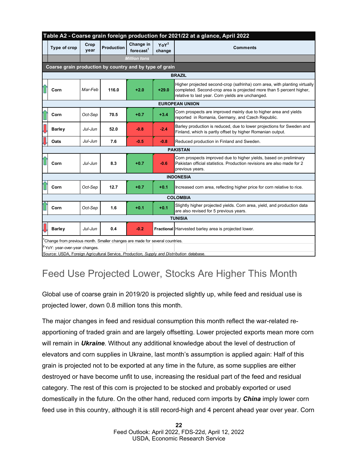|                                                                                           | Table A2 - Coarse grain foreign production for 2021/22 at a glance, April 2022 |              |                   |                                       |                            |                                                                                                                                                                                                         |  |  |  |  |  |  |
|-------------------------------------------------------------------------------------------|--------------------------------------------------------------------------------|--------------|-------------------|---------------------------------------|----------------------------|---------------------------------------------------------------------------------------------------------------------------------------------------------------------------------------------------------|--|--|--|--|--|--|
|                                                                                           | Type of crop                                                                   | Crop<br>year | <b>Production</b> | Change in<br>$force$ ast <sup>1</sup> | YoY <sup>2</sup><br>change | <b>Comments</b>                                                                                                                                                                                         |  |  |  |  |  |  |
|                                                                                           |                                                                                |              |                   | <b>Million tons</b>                   |                            |                                                                                                                                                                                                         |  |  |  |  |  |  |
|                                                                                           | Coarse grain production by country and by type of grain                        |              |                   |                                       |                            |                                                                                                                                                                                                         |  |  |  |  |  |  |
|                                                                                           | <b>BRAZIL</b>                                                                  |              |                   |                                       |                            |                                                                                                                                                                                                         |  |  |  |  |  |  |
|                                                                                           | Corn                                                                           | Mar-Feb      | 116.0             | $+2.0$                                | $+29.0$                    | Higher projected second-crop (safrinha) corn area, with planting virtually<br>completed. Second-crop area is projected more than 5 percent higher,<br>relative to last year. Corn yields are unchanged. |  |  |  |  |  |  |
| <b>EUROPEAN UNIION</b>                                                                    |                                                                                |              |                   |                                       |                            |                                                                                                                                                                                                         |  |  |  |  |  |  |
|                                                                                           | Corn                                                                           | Oct-Sep      | 70.5              | $+0.7$                                | $+3.4$                     | Corn prospects are improved mainly due to higher area and yields<br>reported in Romania, Germany, and Czech Republic.                                                                                   |  |  |  |  |  |  |
|                                                                                           | <b>Barley</b>                                                                  | Jul-Jun      | 52.0              | $-0.8$                                | $-2.4$                     | Barley production is reduced, due to lower projections for Sweden and<br>Finland, which is partly offset by higher Romanian output.                                                                     |  |  |  |  |  |  |
|                                                                                           | Oats                                                                           | Jul-Jun      | 7.6               | $-0.5$                                | $-0.8$                     | Reduced production in Finland and Sweden.                                                                                                                                                               |  |  |  |  |  |  |
| <b>PAKISTAN</b>                                                                           |                                                                                |              |                   |                                       |                            |                                                                                                                                                                                                         |  |  |  |  |  |  |
|                                                                                           | Corn                                                                           | Jul-Jun      | 8.3               | $+0.7$                                | $-0.6$                     | Corn prospects improved due to higher yields, based on preliminary<br>Pakistan official statistics. Production revisions are also made for 2<br>previous years.                                         |  |  |  |  |  |  |
| <b>INDONESIA</b>                                                                          |                                                                                |              |                   |                                       |                            |                                                                                                                                                                                                         |  |  |  |  |  |  |
|                                                                                           | Corn                                                                           | Oct-Sep      | 12.7              | $+0.7$                                | $+0.1$                     | Increased corn area, reflecting higher price for corn relative to rice.                                                                                                                                 |  |  |  |  |  |  |
| <b>COLOMBIA</b>                                                                           |                                                                                |              |                   |                                       |                            |                                                                                                                                                                                                         |  |  |  |  |  |  |
|                                                                                           | Corn                                                                           | Oct-Sep      | 1.6               | $+0.1$                                | $+0.1$                     | Slightly higher projected yields. Corn area, yield, and production data<br>are also revised for 5 previous years.                                                                                       |  |  |  |  |  |  |
|                                                                                           | <b>TUNISIA</b>                                                                 |              |                   |                                       |                            |                                                                                                                                                                                                         |  |  |  |  |  |  |
|                                                                                           | <b>Barley</b>                                                                  | Jul-Jun      | 0.4               | $-0.2$                                |                            | Fractional Harvested barley area is projected lower.                                                                                                                                                    |  |  |  |  |  |  |
|                                                                                           | Change from previous month. Smaller changes are made for several countries.    |              |                   |                                       |                            |                                                                                                                                                                                                         |  |  |  |  |  |  |
|                                                                                           | <sup>2</sup> YoY: year-over-year changes.                                      |              |                   |                                       |                            |                                                                                                                                                                                                         |  |  |  |  |  |  |
| Source: USDA, Foreign Agricultural Service, Production, Supply and Distribution database. |                                                                                |              |                   |                                       |                            |                                                                                                                                                                                                         |  |  |  |  |  |  |

## Feed Use Projected Lower, Stocks Are Higher This Month

Global use of coarse grain in 2019/20 is projected slightly up, while feed and residual use is projected lower, down 0.8 million tons this month.

The major changes in feed and residual consumption this month reflect the war-related reapportioning of traded grain and are largely offsetting. Lower projected exports mean more corn will remain in *Ukraine*. Without any additional knowledge about the level of destruction of elevators and corn supplies in Ukraine, last month's assumption is applied again: Half of this grain is projected not to be exported at any time in the future, as some supplies are either destroyed or have become unfit to use, increasing the residual part of the feed and residual category. The rest of this corn is projected to be stocked and probably exported or used domestically in the future. On the other hand, reduced corn imports by *China* imply lower corn feed use in this country, although it is still record-high and 4 percent ahead year over year. Corn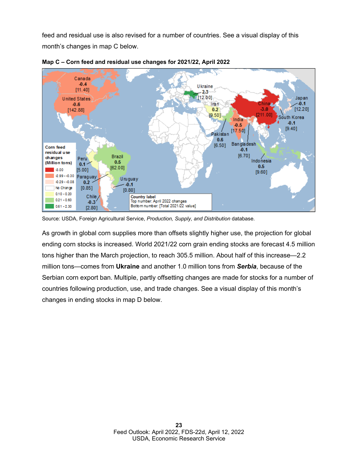feed and residual use is also revised for a number of countries. See a visual display of this month's changes in map C below.





As growth in global corn supplies more than offsets slightly higher use, the projection for global ending corn stocks is increased. World 2021/22 corn grain ending stocks are forecast 4.5 million tons higher than the March projection, to reach 305.5 million. About half of this increase—2.2 million tons—comes from **Ukraine** and another 1.0 million tons from *Serbia*, because of the Serbian corn export ban. Multiple, partly offsetting changes are made for stocks for a number of countries following production, use, and trade changes. See a visual display of this month's changes in ending stocks in map D below.

Source: USDA, Foreign Agricultural Service, *Production, Supply, and Distribution* database.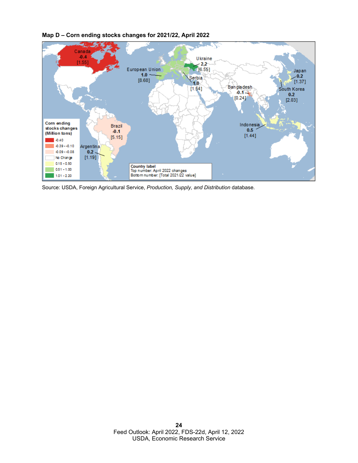

**Map D – Corn ending stocks changes for 2021/22, April 2022**

Source: USDA, Foreign Agricultural Service, *Production, Supply, and Distribution* database.